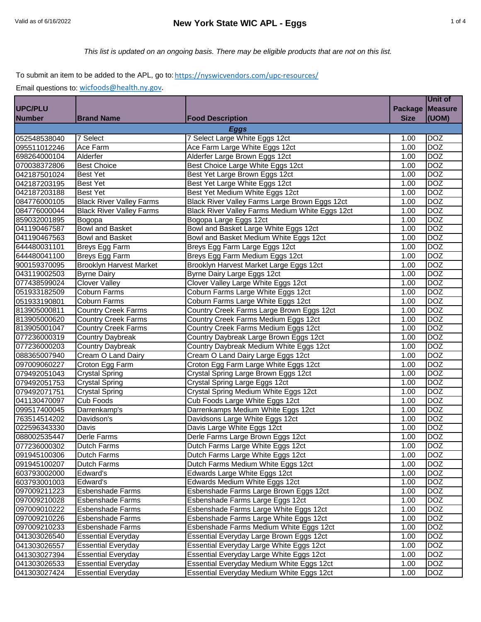# Valid as of 6/16/2022 **New York State WIC APL - Eggs** 1 of 4

## To submit an item to be added to the APL, go to: https://nyswicvendors.com/upc-resources/

|                |                                 |                                                 |                | Unit of        |  |
|----------------|---------------------------------|-------------------------------------------------|----------------|----------------|--|
| <b>UPC/PLU</b> |                                 |                                                 | <b>Package</b> | <b>Measure</b> |  |
| <b>Number</b>  | <b>Brand Name</b>               | <b>Food Description</b>                         | <b>Size</b>    | (UOM)          |  |
| <b>Eggs</b>    |                                 |                                                 |                |                |  |
| 052548538040   | 7 Select                        | 7 Select Large White Eggs 12ct                  | 1.00           | <b>DOZ</b>     |  |
| 095511012246   | Ace Farm                        | Ace Farm Large White Eggs 12ct                  | 1.00           | <b>DOZ</b>     |  |
| 698264000104   | Alderfer                        | Alderfer Large Brown Eggs 12ct                  | 1.00           | <b>DOZ</b>     |  |
| 070038372806   | <b>Best Choice</b>              | Best Choice Large White Eggs 12ct               | 1.00           | <b>DOZ</b>     |  |
| 042187501024   | <b>Best Yet</b>                 | Best Yet Large Brown Eggs 12ct                  | 1.00           | <b>DOZ</b>     |  |
| 042187203195   | <b>Best Yet</b>                 | Best Yet Large White Eggs 12ct                  | 1.00           | <b>DOZ</b>     |  |
| 042187203188   | <b>Best Yet</b>                 | Best Yet Medium White Eggs 12ct                 | 1.00           | <b>DOZ</b>     |  |
| 084776000105   | <b>Black River Valley Farms</b> | Black River Valley Farms Large Brown Eggs 12ct  | 1.00           | <b>DOZ</b>     |  |
| 084776000044   | <b>Black River Valley Farms</b> | Black River Valley Farms Medium White Eggs 12ct | 1.00           | <b>DOZ</b>     |  |
| 859032001895   | Bogopa                          | Bogopa Large Eggs 12ct                          | 1.00           | <b>DOZ</b>     |  |
| 041190467587   | <b>Bowl and Basket</b>          | Bowl and Basket Large White Eggs 12ct           | 1.00           | <b>DOZ</b>     |  |
| 041190467563   | <b>Bowl and Basket</b>          | Bowl and Basket Medium White Eggs 12ct          | 1.00           | <b>DOZ</b>     |  |
| 644480031101   | Breys Egg Farm                  | Breys Egg Farm Large Eggs 12ct                  | 1.00           | <b>DOZ</b>     |  |
| 644480041100   | Breys Egg Farm                  | Breys Egg Farm Medium Eggs 12ct                 | 1.00           | <b>DOZ</b>     |  |
| 900159370095   | <b>Brooklyn Harvest Market</b>  | Brooklyn Harvest Market Large Eggs 12ct         | 1.00           | <b>DOZ</b>     |  |
| 043119002503   | <b>Byrne Dairy</b>              | Byrne Dairy Large Eggs 12ct                     | 1.00           | <b>DOZ</b>     |  |
| 077438599024   | <b>Clover Valley</b>            | Clover Valley Large White Eggs 12ct             | 1.00           | <b>DOZ</b>     |  |
| 051933182509   | <b>Coburn Farms</b>             | Coburn Farms Large White Eggs 12ct              | 1.00           | <b>DOZ</b>     |  |
| 051933190801   | <b>Coburn Farms</b>             | Coburn Farms Large White Eggs 12ct              | 1.00           | <b>DOZ</b>     |  |
| 813905000811   | <b>Country Creek Farms</b>      | Country Creek Farms Large Brown Eggs 12ct       | 1.00           | <b>DOZ</b>     |  |
| 813905000620   | <b>Country Creek Farms</b>      | Country Creek Farms Medium Eggs 12ct            | 1.00           | <b>DOZ</b>     |  |
| 813905001047   | <b>Country Creek Farms</b>      | Country Creek Farms Medium Eggs 12ct            | 1.00           | <b>DOZ</b>     |  |
| 077236000319   | <b>Country Daybreak</b>         | Country Daybreak Large Brown Eggs 12ct          | 1.00           | <b>DOZ</b>     |  |
| 077236000203   | <b>Country Daybreak</b>         | Country Daybreak Medium White Eggs 12ct         | 1.00           | <b>DOZ</b>     |  |
| 088365007940   | Cream O Land Dairy              | Cream O Land Dairy Large Eggs 12ct              | 1.00           | <b>DOZ</b>     |  |
| 097009060227   | Croton Egg Farm                 | Croton Egg Farm Large White Eggs 12ct           | 1.00           | <b>DOZ</b>     |  |
| 079492051043   | <b>Crystal Spring</b>           | Crystal Spring Large Brown Eggs 12ct            | 1.00           | <b>DOZ</b>     |  |
| 079492051753   | <b>Crystal Spring</b>           | Crystal Spring Large Eggs 12ct                  | 1.00           | <b>DOZ</b>     |  |
| 079492071751   | <b>Crystal Spring</b>           | Crystal Spring Medium White Eggs 12ct           | 1.00           | <b>DOZ</b>     |  |
| 041130470097   | Cub Foods                       | Cub Foods Large White Eggs 12ct                 | 1.00           | <b>DOZ</b>     |  |
| 099517400045   | Darrenkamp's                    | Darrenkamps Medium White Eggs 12ct              | 1.00           | <b>DOZ</b>     |  |
| 763514514202   | Davidson's                      | Davidsons Large White Eggs 12ct                 | 1.00           | <b>DOZ</b>     |  |
| 022596343330   | Davis                           | Davis Large White Eggs 12ct                     | 1.00           | <b>DOZ</b>     |  |
| 088002535447   | Derle Farms                     | Derle Farms Large Brown Eggs 12ct               | 1.00           | <b>DOZ</b>     |  |
| 077236000302   | <b>Dutch Farms</b>              | Dutch Farms Large White Eggs 12ct               | 1.00           | <b>DOZ</b>     |  |
| 091945100306   | Dutch Farms                     | Dutch Farms Large White Eggs 12ct               | 1.00           | <b>DOZ</b>     |  |
| 091945100207   | Dutch Farms                     | Dutch Farms Medium White Eggs 12ct              | 1.00           | <b>DOZ</b>     |  |
| 603793002000   | Edward's                        | Edwards Large White Eggs 12ct                   | 1.00           | <b>DOZ</b>     |  |
| 603793001003   | Edward's                        | Edwards Medium White Eggs 12ct                  | 1.00           | <b>DOZ</b>     |  |
| 097009211223   | <b>Esbenshade Farms</b>         | Esbenshade Farms Large Brown Eggs 12ct          | 1.00           | <b>DOZ</b>     |  |
| 097009210028   | <b>Esbenshade Farms</b>         | Esbenshade Farms Large Eggs 12ct                | 1.00           | <b>DOZ</b>     |  |
| 097009010222   | <b>Esbenshade Farms</b>         | Esbenshade Farms Large White Eggs 12ct          | 1.00           | <b>DOZ</b>     |  |
| 097009210226   | Esbenshade Farms                | Esbenshade Farms Large White Eggs 12ct          | 1.00           | <b>DOZ</b>     |  |
| 097009210233   | <b>Esbenshade Farms</b>         | Esbenshade Farms Medium White Eggs 12ct         | 1.00           | <b>DOZ</b>     |  |
| 041303026540   | <b>Essential Everyday</b>       | Essential Everyday Large Brown Eggs 12ct        | 1.00           | DOZ            |  |
| 041303026557   | <b>Essential Everyday</b>       | Essential Everyday Large White Eggs 12ct        | 1.00           | <b>DOZ</b>     |  |
| 041303027394   | <b>Essential Everyday</b>       | Essential Everyday Large White Eggs 12ct        | 1.00           | <b>DOZ</b>     |  |
| 041303026533   | <b>Essential Everyday</b>       | Essential Everyday Medium White Eggs 12ct       | 1.00           | <b>DOZ</b>     |  |
| 041303027424   | <b>Essential Everyday</b>       | Essential Everyday Medium White Eggs 12ct       | 1.00           | <b>DOZ</b>     |  |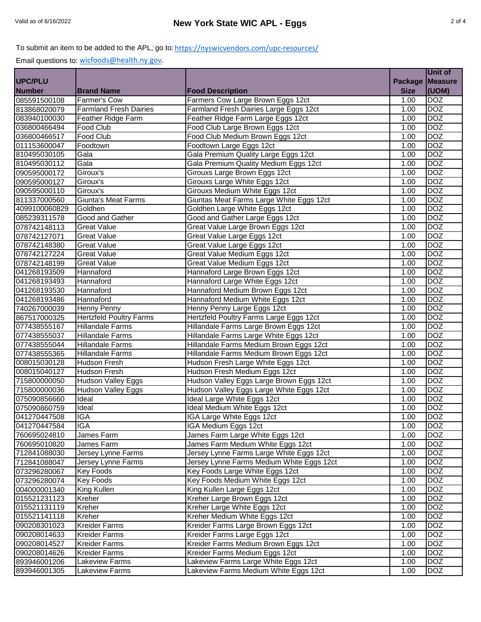### To submit an item to be added to the APL, go to: <u>https://nyswicvendors.com/upc-resources/</u>

|                              |                                |                                                                     |                    | Unit of        |
|------------------------------|--------------------------------|---------------------------------------------------------------------|--------------------|----------------|
| UPC/PLU                      |                                |                                                                     | <b>Package</b>     | <b>Measure</b> |
| <b>Number</b>                | <b>Brand Name</b>              | <b>Food Description</b>                                             | <b>Size</b>        | (UOM)          |
| 085591500108                 | <b>Farmer's Cow</b>            | Farmers Cow Large Brown Eggs 12ct                                   | 1.00               | <b>DOZ</b>     |
| 813868020079                 | <b>Farmland Fresh Dairies</b>  | Farmland Fresh Dairies Large Eggs 12ct                              | 1.00               | <b>DOZ</b>     |
| 083940100030                 | Feather Ridge Farm             | Feather Ridge Farm Large Eggs 12ct                                  | 1.00               | <b>DOZ</b>     |
| 036800466494                 | Food Club                      | Food Club Large Brown Eggs 12ct                                     | 1.00               | <b>DOZ</b>     |
| 036800466517                 | <b>Food Club</b>               | Food Club Medium Brown Eggs 12ct                                    | 1.00               | <b>DOZ</b>     |
| 011153600047                 | Foodtown                       | Foodtown Large Eggs 12ct                                            | 1.00               | <b>DOZ</b>     |
| 810495030105                 | Gala                           | Gala Premium Quality Large Eggs 12ct                                | 1.00               | <b>DOZ</b>     |
| 810495030112                 | Gala                           | Gala Premium Quality Medium Eggs 12ct                               | $\overline{1}$ .00 | <b>DOZ</b>     |
| 090595000172                 | Giroux's                       | Girouxs Large Brown Eggs 12ct                                       | $\overline{1}$ .00 | <b>DOZ</b>     |
| 090595000127                 | Giroux's                       | Girouxs Large White Eggs 12ct                                       | 1.00               | <b>DOZ</b>     |
| 090595000110                 | Giroux's                       | Girouxs Medium White Eggs 12ct                                      | 1.00               | <b>DOZ</b>     |
| 811337000560                 | <b>Giunta's Meat Farms</b>     | Giuntas Meat Farms Large White Eggs 12ct                            | 1.00               | <b>DOZ</b>     |
| 4099100060829                | Goldhen                        | Goldhen Large White Eggs 12ct                                       | 1.00               | <b>DOZ</b>     |
| 085239311578                 | Good and Gather                | Good and Gather Large Eggs 12ct                                     | 1.00               | <b>DOZ</b>     |
| 078742148113                 | <b>Great Value</b>             | Great Value Large Brown Eggs 12ct                                   | 1.00               | <b>DOZ</b>     |
| 078742127071                 | <b>Great Value</b>             | Great Value Large Eggs 12ct                                         | 1.00               | <b>DOZ</b>     |
| 078742148380                 | <b>Great Value</b>             | Great Value Large Eggs 12ct                                         | 1.00               | <b>DOZ</b>     |
| 078742127224                 | <b>Great Value</b>             | Great Value Medium Eggs 12ct                                        | 1.00               | <b>DOZ</b>     |
| 078742148199                 | <b>Great Value</b>             | Great Value Medium Eggs 12ct                                        | 1.00               | <b>DOZ</b>     |
| 041268193509                 | Hannaford                      | Hannaford Large Brown Eggs 12ct                                     | 1.00               | <b>DOZ</b>     |
|                              | Hannaford                      |                                                                     | 1.00               | <b>DOZ</b>     |
| 041268193493<br>041268193530 | Hannaford                      | Hannaford Large White Eggs 12ct<br>Hannaford Medium Brown Eggs 12ct | 1.00               | <b>DOZ</b>     |
|                              | Hannaford                      |                                                                     |                    | <b>DOZ</b>     |
| 041268193486                 |                                | Hannaford Medium White Eggs 12ct                                    | 1.00               | <b>DOZ</b>     |
| 740267000039<br>867517000325 | <b>Henny Penny</b>             | Henny Penny Large Eggs 12ct                                         | 1.00               |                |
|                              | <b>Hertzfeld Poultry Farms</b> | Hertzfeld Poultry Farms Large Eggs 12ct                             | 1.00               | <b>DOZ</b>     |
| 077438555167                 | <b>Hillandale Farms</b>        | Hillandale Farms Large Brown Eggs 12ct                              | 1.00               | <b>DOZ</b>     |
| 077438555037                 | <b>Hillandale Farms</b>        | Hillandale Farms Large White Eggs 12ct                              | 1.00               | <b>DOZ</b>     |
| 077438555044                 | <b>Hillandale Farms</b>        | Hillandale Farms Medium Brown Eggs 12ct                             | 1.00               | <b>DOZ</b>     |
| 077438555365                 | <b>Hillandale Farms</b>        | Hillandale Farms Medium Brown Eggs 12ct                             | 1.00               | <b>DOZ</b>     |
| 008015030128                 | Hudson Fresh                   | Hudson Fresh Large White Eggs 12ct                                  | 1.00               | <b>DOZ</b>     |
| 008015040127                 | <b>Hudson Fresh</b>            | Hudson Fresh Medium Eggs 12ct                                       | 1.00               | <b>DOZ</b>     |
| 715800000050                 | <b>Hudson Valley Eggs</b>      | Hudson Valley Eggs Large Brown Eggs 12ct                            | 1.00               | <b>DOZ</b>     |
| 715800000036                 | Hudson Valley Eggs             | Hudson Valley Eggs Large White Eggs 12ct                            | 1.00               | <b>DOZ</b>     |
| 075090856660                 | <b>Ideal</b>                   | Ideal Large White Eggs 12ct                                         | 1.00               | <b>DOZ</b>     |
| 075090860759                 | Ideal                          | Ideal Medium White Eggs 12ct                                        | 1.00               | <b>DOZ</b>     |
| 041270447508                 | <b>IGA</b>                     | IGA Large White Eggs 12ct                                           | 1.00               | <b>DOZ</b>     |
| 041270447584                 | <b>IGA</b>                     | IGA Medium Eggs 12ct                                                | 1.00               | <b>DOZ</b>     |
| 760695024810                 | James Farm                     | James Farm Large White Eggs 12ct                                    | 1.00               | <b>DOZ</b>     |
| 760695010820                 | James Farm                     | James Farm Medium White Eggs 12ct                                   | 1.00               | <b>DOZ</b>     |
| 712841088030                 | Jersey Lynne Farms             | Jersey Lynne Farms Large White Eggs 12ct                            | 1.00               | <b>DOZ</b>     |
| 712841088047                 | <b>Jersey Lynne Farms</b>      | Jersey Lynne Farms Medium White Eggs 12ct                           | 1.00               | <b>DOZ</b>     |
| 073296280067                 | <b>Key Foods</b>               | Key Foods Large White Eggs 12ct                                     | 1.00               | <b>DOZ</b>     |
| 073296280074                 | <b>Key Foods</b>               | Key Foods Medium White Eggs 12ct                                    | 1.00               | <b>DOZ</b>     |
| 004000001340                 | King Kullen                    | King Kullen Large Eggs 12ct                                         | 1.00               | <b>DOZ</b>     |
| 015521231123                 | Kreher                         | Kreher Large Brown Eggs 12ct                                        | 1.00               | <b>DOZ</b>     |
| 015521131119                 | Kreher                         | Kreher Large White Eggs 12ct                                        | 1.00               | <b>DOZ</b>     |
| 015521141118                 | Kreher                         | Kreher Medium White Eggs 12ct                                       | 1.00               | <b>DOZ</b>     |
| 090208301023                 | <b>Kreider Farms</b>           | Kreider Farms Large Brown Eggs 12ct                                 | 1.00               | <b>DOZ</b>     |
| 090208014633                 | <b>Kreider Farms</b>           | Kreider Farms Large Eggs 12ct                                       | 1.00               | <b>DOZ</b>     |
| 090208014527                 | <b>Kreider Farms</b>           | Kreider Farms Medium Brown Eggs 12ct                                | 1.00               | <b>DOZ</b>     |
| 090208014626                 | <b>Kreider Farms</b>           | Kreider Farms Medium Eggs 12ct                                      | 1.00               | <b>DOZ</b>     |
| 893946001206                 | <b>Lakeview Farms</b>          | Lakeview Farms Large White Eggs 12ct                                | $\overline{1.00}$  | <b>DOZ</b>     |
| 893946001305                 | Lakeview Farms                 | Lakeview Farms Medium White Eggs 12ct                               | 1.00               | <b>DOZ</b>     |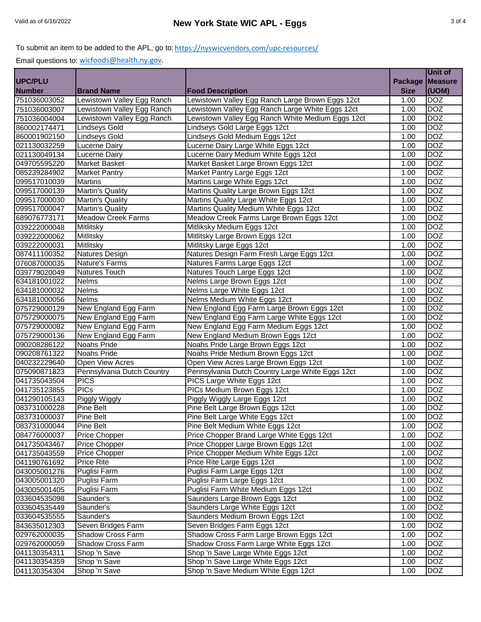#### To submit an item to be added to the APL, go to: <u>https://nyswicvendors.com/upc-resources/</u>

|                |                            |                                                   |                    | Unit of    |
|----------------|----------------------------|---------------------------------------------------|--------------------|------------|
| <b>UPC/PLU</b> |                            |                                                   | <b>Package</b>     | Measure    |
| <b>Number</b>  | <b>Brand Name</b>          | <b>Food Description</b>                           | <b>Size</b>        | (UOM)      |
| 751036003052   | Lewistown Valley Egg Ranch | Lewistown Valley Egg Ranch Large Brown Eggs 12ct  | 1.00               | <b>DOZ</b> |
| 751036003007   | Lewistown Valley Egg Ranch | Lewistown Valley Egg Ranch Large White Eggs 12ct  | $\overline{1}$ .00 | <b>DOZ</b> |
| 751036004004   | Lewistown Valley Egg Ranch | Lewistown Valley Egg Ranch White Medium Eggs 12ct | 1.00               | <b>DOZ</b> |
| 860002174471   | <b>Lindseys Gold</b>       | Lindseys Gold Large Eggs 12ct                     | 1.00               | <b>DOZ</b> |
| 860001902150   | <b>Lindseys Gold</b>       | Lindseys Gold Medium Eggs 12ct                    | 1.00               | <b>DOZ</b> |
| 021130032259   | Lucerne Dairy              | Lucerne Dairy Large White Eggs 12ct               | 1.00               | <b>DOZ</b> |
| 021130049134   | Lucerne Dairy              | Lucerne Dairy Medium White Eggs 12ct              | 1.00               | <b>DOZ</b> |
| 049705595220   | Market Basket              | Market Basket Large Brown Eggs 12ct               | 1.00               | <b>DOZ</b> |
| 085239284902   | <b>Market Pantry</b>       | Market Pantry Large Eggs 12ct                     | 1.00               | <b>DOZ</b> |
| 099517010039   | <b>Martins</b>             | Martins Large White Eggs 12ct                     | 1.00               | <b>DOZ</b> |
| 099517000139   | Martin's Quality           | Martins Quality Large Brown Eggs 12ct             | 1.00               | <b>DOZ</b> |
| 099517000030   | Martin's Quality           | Martins Quality Large White Eggs 12ct             | 1.00               | <b>DOZ</b> |
| 099517000047   | Martin's Quality           | Martins Quality Medium White Eggs 12ct            | 1.00               | <b>DOZ</b> |
| 689076773171   | <b>Meadow Creek Farms</b>  | Meadow Creek Farms Large Brown Eggs 12ct          | 1.00               | <b>DOZ</b> |
| 039222000048   | Mitlitsky                  | Mitliksky Medium Eggs 12ct                        | 1.00               | <b>DOZ</b> |
| 039222000062   | Mitlitsky                  | Mitlitsky Large Brown Eggs 12ct                   | 1.00               | <b>DOZ</b> |
| 039222000031   | Mitlitsky                  | Mitlitsky Large Eggs 12ct                         | 1.00               | <b>DOZ</b> |
| 087411100352   | Natures Design             | Natures Design Farm Fresh Large Eggs 12ct         | 1.00               | <b>DOZ</b> |
| 076087000035   | Nature's Farms             | Natures Farms Large Eggs 12ct                     | 1.00               | <b>DOZ</b> |
| 039779020049   | Natures Touch              | Natures Touch Large Eggs 12ct                     | 1.00               | <b>DOZ</b> |
| 634181001022   | Nelms                      | Nelms Large Brown Eggs 12ct                       | 1.00               | <b>DOZ</b> |
| 634181000032   | Nelms                      | Nelms Large White Eggs 12ct                       | 1.00               | <b>DOZ</b> |
| 634181000056   | <b>Nelms</b>               | Nelms Medium White Eggs 12ct                      | 1.00               | <b>DOZ</b> |
| 075729000129   | New England Egg Farm       | New England Egg Farm Large Brown Eggs 12ct        | 1.00               | <b>DOZ</b> |
| 075729000075   | New England Egg Farm       | New England Egg Farm Large White Eggs 12ct        | 1.00               | <b>DOZ</b> |
| 075729000082   | New England Egg Farm       | New England Egg Farm Medium Eggs 12ct             | 1.00               | <b>DOZ</b> |
| 075729000136   | New England Egg Farm       | New England Medium Brown Eggs 12ct                | 1.00               | <b>DOZ</b> |
| 090208286122   | <b>Noahs Pride</b>         | Noahs Pride Large Brown Eggs 12ct                 | 1.00               | <b>DOZ</b> |
| 090208761322   | Noahs Pride                | Noahs Pride Medium Brown Eggs 12ct                | 1.00               | <b>DOZ</b> |
| 040232229640   | Open View Acres            | Open View Acres Large Brown Eggs 12ct             | 1.00               | <b>DOZ</b> |
| 075090871823   | Pennsylvania Dutch Country | Pennsylvania Dutch Country Large White Eggs 12ct  | 1.00               | <b>DOZ</b> |
| 041735043504   | <b>PICS</b>                | PICS Large White Eggs 12ct                        | 1.00               | <b>DOZ</b> |
| 041735123855   | <b>PICs</b>                | PICs Medium Brown Eggs 12ct                       | 1.00               | <b>DOZ</b> |
| 041290105143   | Piggly Wiggly              | Piggly Wiggly Large Eggs 12ct                     | $\overline{1}$ .00 | <b>DOZ</b> |
| 083731000228   | Pine Belt                  | Pine Belt Large Brown Eggs 12ct                   | 1.00               | <b>DOZ</b> |
| 083731000037   | Pine Belt                  | Pine Belt Large White Eggs 12ct                   | 1.00               | <b>DOZ</b> |
| 083731000044   | Pine Belt                  | Pine Belt Medium White Eggs 12ct                  | 1.00               | <b>DOZ</b> |
| 084776000037   | Price Chopper              | Price Chopper Brand Large White Eggs 12ct         | $\overline{1.00}$  | <b>DOZ</b> |
| 041735043467   | Price Chopper              | Price Chopper Large Brown Eggs 12ct               | 1.00               | <b>DOZ</b> |
| 041735043559   | Price Chopper              | Price Chopper Medium White Eggs 12ct              | 1.00               | <b>DOZ</b> |
| 041190761692   | Price Rite                 | Price Rite Large Eggs 12ct                        | 1.00               | <b>DOZ</b> |
| 043005001276   | Puglisi Farm               | Puglisi Farm Large Eggs 12ct                      | 1.00               | <b>DOZ</b> |
| 043005001320   | Puglisi Farm               | Puglisi Farm Large Eggs 12ct                      | 1.00               | <b>DOZ</b> |
| 043005001405   | Puglisi Farm               | Puglisi Farm White Medium Eggs 12ct               | 1.00               | <b>DOZ</b> |
| 033604535098   | Saunder's                  | Saunders Large Brown Eggs 12ct                    | 1.00               | <b>DOZ</b> |
| 033604535449   | Saunder's                  | Saunders Large White Eggs 12ct                    | 1.00               | <b>DOZ</b> |
| 033604535555   | Saunder's                  | Saunders Medium Brown Eggs 12ct                   | 1.00               | <b>DOZ</b> |
| 843635012303   | Seven Bridges Farm         | Seven Bridges Farm Eggs 12ct                      | 1.00               | <b>DOZ</b> |
| 029762000035   | Shadow Cross Farm          | Shadow Cross Farm Large Brown Eggs 12ct           | 1.00               | <b>DOZ</b> |
| 029762000059   | Shadow Cross Farm          | Shadow Cross Farm Large White Eggs 12ct           | 1.00               | <b>DOZ</b> |
| 041130354311   | Shop 'n Save               | Shop 'n Save Large White Eggs 12ct                | 1.00               | <b>DOZ</b> |
| 041130354359   | Shop 'n Save               | Shop 'n Save Large White Eggs 12ct                | 1.00               | <b>DOZ</b> |
| 041130354304   | Shop 'n Save               | Shop 'n Save Medium White Eggs 12ct               | 1.00               | <b>DOZ</b> |
|                |                            |                                                   |                    |            |